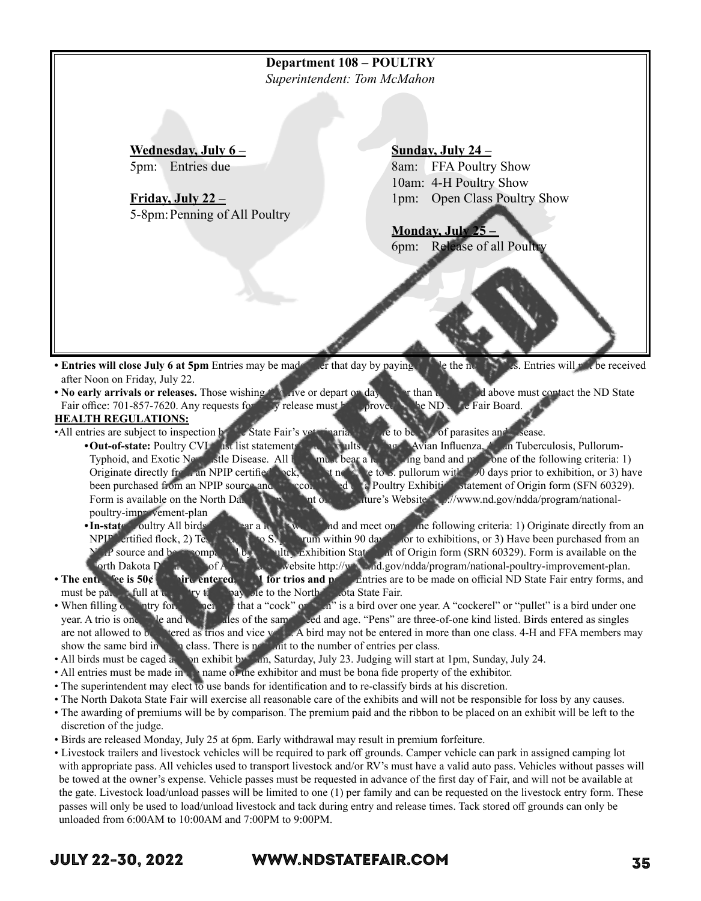| Superintendent: Tom McMahon   |                                     |
|-------------------------------|-------------------------------------|
|                               |                                     |
|                               |                                     |
| Wednesday, July $6-$          | Sunday, July $24 -$                 |
| Entries due<br>5pm:           | <b>FFA Poultry Show</b><br>8am:     |
|                               | 10am: 4-H Poultry Show              |
| Friday, July $22 -$           | 1pm: Open Class Poultry Show        |
| 5-8pm: Penning of All Poultry |                                     |
|                               | Monday, July 25.                    |
|                               | Release of all Poultry<br>6pm:      |
|                               | s. Entries will refuge the received |

- after Noon on Friday, July 22.
- No early arrivals or releases. Those wishing the arrive or depart on day than the days of above must contact the ND State Fair office: 701-857-7620. Any requests for express must be proved by the ND State Fair Board.

#### **HEALTH REGULATIONS:**

- •All entries are subject to inspection by the State Fair's veterinarian and are to be  $\mathcal{M}$  of parasites and disease.
	- Out-of-state: Poultry CVI and list statements or test relations to Avian Influenza, Avian Tuberculosis, Pullorum-Typhoid, and Exotic New estle Disease. All big must bear a leg or angle of the following criteria: 1) Originate directly figure an NPIP certified speed, 2) Test negative to S. pullorum with  $\geq 0$  days prior to exhibition, or 3) have been purchased from an NPIP source and become bed by Poultry Exhibitic statement of Origin form (SFN 60329). Form is available on the North Dayota Department of Agriculture's Website http://www.nd.gov/ndda/program/nationalpoultry-improvement-plan
		- **•In-state:** oultry All birds man a leg or wind and meet one of the following criteria: 1) Originate directly from an NPIP certified flock, 2) Test negative S. pullo within 90 days not to exhibitions, or 3) Have been purchased from an P source and be sompanied by a Poultry Exhibition Statement of Origin form (SRN 60329). Form is available on the  $\Phi$  of  $\Lambda$  and  $\Phi$  are  $\Phi$  and  $\Phi$  and  $\Phi$  and  $\Phi$  and  $\Phi$  and  $\Phi$  and  $\Phi$  and  $\Phi$  are  $\Phi$  and  $\Phi$  and  $\Phi$  are  $\Phi$  and  $\Phi$  and  $\Phi$  and  $\Phi$  and  $\Phi$  are  $\Phi$  and  $\Phi$  and  $\Phi$  are  $\Phi$  and  $\Phi$  and  $\Phi$  a
- **The entiple is 50¢ per bird entered, and for trios and penalties are to be made on official ND State Fair entry forms, and <b>in** must be paid in full at the entry time, pay ble to the North Lota State Fair.
- When filling  $\alpha$  and  $\alpha$  for  $\alpha$  is a bird over one year. A "cockerel" or "pullet" is a bird under one year. A trio is one male and two females of the same breed and age. "Pens" are three-of-one kind listed. Birds entered as singles are not allowed to be entered as trios and vice versa. A bird may not be entered in more than one class. 4-H and FFA members may show the same bird in  $\mathbf{h}_i$  class. There is  $\mathbf{p}^{\mathbf{a}}$  int to the number of entries per class.
- All birds must be caged and on exhibit by 9am, Saturday, July 23. Judging will start at 1pm, Sunday, July 24.
- All entries must be made in the name of the exhibitor and must be bona fide property of the exhibitor.
- The superintendent may elect to use bands for identification and to re-classify birds at his discretion.
- The North Dakota State Fair will exercise all reasonable care of the exhibits and will not be responsible for loss by any causes.
- The awarding of premiums will be by comparison. The premium paid and the ribbon to be placed on an exhibit will be left to the discretion of the judge.
- Birds are released Monday, July 25 at 6pm. Early withdrawal may result in premium forfeiture.
- Livestock trailers and livestock vehicles will be required to park off grounds. Camper vehicle can park in assigned camping lot with appropriate pass. All vehicles used to transport livestock and/or RV's must have a valid auto pass. Vehicles without passes will be towed at the owner's expense. Vehicle passes must be requested in advance of the first day of Fair, and will not be available at the gate. Livestock load/unload passes will be limited to one (1) per family and can be requested on the livestock entry form. These passes will only be used to load/unload livestock and tack during entry and release times. Tack stored off grounds can only be unloaded from 6:00AM to 10:00AM and 7:00PM to 9:00PM.

# JULY 22-30, 2022 WWW.NDSTATEFAIR.COM 35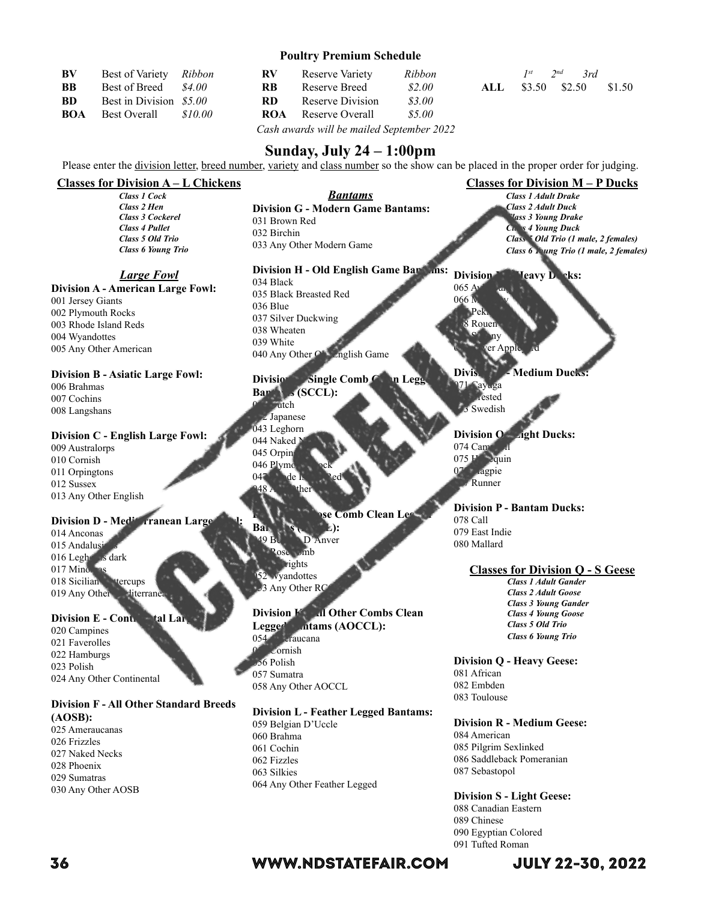#### **Poultry Premium Schedule**

| <b>BV</b>  | Best of Variety         | Ribbon  |
|------------|-------------------------|---------|
| <b>BB</b>  | <b>Best of Breed</b>    | \$4.00  |
| -RD        | Best in Division \$5.00 |         |
| <b>BOA</b> | <b>Best Overall</b>     | \$10.00 |

| BV  | Best of Variety Ribbon  |         | <b>RV</b> | Reserve Variety  | Ribbon |
|-----|-------------------------|---------|-----------|------------------|--------|
| BB  | Best of Breed           | - S4 00 | <b>RB</b> | Reserve Breed    | \$2.00 |
| BD  | Best in Division \$5.00 |         | RD.       | Reserve Division | \$3.00 |
| BOA | Best Overall            | 810 OO  | ROA       | Reserve Overall  | \$5.00 |
|     |                         |         |           |                  |        |

|  | $I^{st}$ $2^{nd}$ $3rd$  |  |
|--|--------------------------|--|
|  | ALL \$3.50 \$2.50 \$1.50 |  |

*Cash awards will be mailed September 2022*

## **Sunday, July 24 – 1:00pm**

Please enter the division letter, breed number, variety and class number so the show can be placed in the proper order for judging.

*Bantams* **Division G - Modern Game Bantams:**

#### **Classes for Division A – L Chickens**

*Class 1 Cock Class 2 Hen Class 3 Cockerel Class 4 Pullet Class 5 Old Trio Class 6 Young Trio*

#### *Large Fowl*

**Division A - American Large Fowl:** 001 Jersey Giants 002 Plymouth Rocks 003 Rhode Island Reds 004 Wyandottes 005 Any Other American

#### **Division B - Asiatic Large Fowl:**

006 Brahmas 007 Cochins 008 Langshans

#### **Division C - English Large Fowl:**

009 Australorps 010 Cornish 011 Orpingtons 012 Sussex 013 Any Other English

## **Division D - Mediate For Large Formula**

014 Anconas 015 Andalusi 016 Leghorns dark  $017$  Mino 018 Sicilian Hercups 019 Any Other Miterrane

#### **Division E - Continental Large Forma**

020 Campines 021 Faverolles 022 Hamburgs 023 Polish 024 Any Other Continental

#### **Division F - All Other Standard Breeds (AOSB):**

025 Ameraucanas 026 Frizzles 027 Naked Necks 028 Phoenix 029 Sumatras 030 Any Other AOSB

### **Division H - Old English Game Bandwis:** 034 Black 035 Black Breasted Red 036 Blue 037 Silver Duckwing 038 Wheaten 039 White 040 Any Other  $\circ$  English Game

033 Any Other Modern Game

## Division Single Comb

Ban<sub>tam</sub>s (SCCL): **Autch** 2 Japanese 043 Leghorn 044 Naked 045 Orpin 046 Plymo 047 de la Ped the

031 Brown Red 032 Birchin

## **Division Dec** Comb Clean Le

Banca<sup>cc</sup> S<sub>1</sub> (RCCL): 049 Belgian D'Anver  $m<sub>b</sub>$ rights 052 Wyandottes 33 Any Other RC

## **Division K All Other Combs Clean**

Legged **antams (AOCCL):**<br>054 raucana **raucana Cornish** 056 Polish 057 Sumatra 058 Any Other AOCCL

### **Division L - Feather Legged Bantams:**

059 Belgian D'Uccle 060 Brahma 061 Cochin 062 Fizzles 063 Silkies 064 Any Other Feather Legged

## **Classes for Division M – P Ducks**

*Class 1 Adult Drake Class 2 Adult Duck Class 3 Young Drake Class 4 Young Duck Class 5 Old Trio (1 male, 2 females) Class 6 Young Trio (1 male, 2 females)*

Division **Meavy Ducks:**  $065 \,\mathrm{A}$ 

 $0661$  $Pe<sub>k</sub>$ 8 Rouen be a ny ver App

**Medium Ducks** 

071 Cayuga rested 3 Swedish

**Division O** - **<u>Light Ducks:</u>**  $074$  Campbell  $075 F -$  quin  $07*$  agpie **Runner** 

**Division P - Bantam Ducks:** 078 Call 079 East Indie 080 Mallard

#### **Classes for Division Q - S Geese**

*Class 1 Adult Gander Class 2 Adult Goose Class 3 Young Gander Class 4 Young Goose Class 5 Old Trio Class 6 Young Trio*

**Division Q - Heavy Geese:** 081 African 082 Embden 083 Toulouse

#### **Division R - Medium Geese:**

084 American 085 Pilgrim Sexlinked 086 Saddleback Pomeranian 087 Sebastopol

**Division S - Light Geese:** 088 Canadian Eastern 089 Chinese 090 Egyptian Colored 091 Tufted Roman

# 36 WWW.NDSTATEFAIR.COM JULY 22-30, 2022